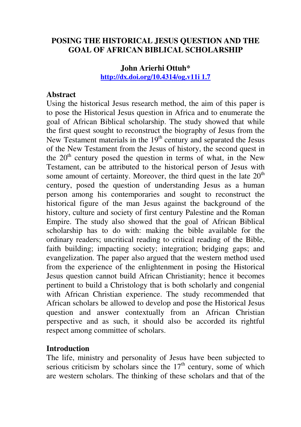# **POSING THE HISTORICAL JESUS QUESTION AND THE GOAL OF AFRICAN BIBLICAL SCHOLARSHIP**

## **John Arierhi Ottuh\* http://dx.doi.org/10.4314/og.v11i 1.7**

## **Abstract**

Using the historical Jesus research method, the aim of this paper is to pose the Historical Jesus question in Africa and to enumerate the goal of African Biblical scholarship. The study showed that while the first quest sought to reconstruct the biography of Jesus from the New Testament materials in the  $19<sup>th</sup>$  century and separated the Jesus of the New Testament from the Jesus of history, the second quest in the  $20<sup>th</sup>$  century posed the question in terms of what, in the New Testament, can be attributed to the historical person of Jesus with some amount of certainty. Moreover, the third quest in the late  $20<sup>th</sup>$ century, posed the question of understanding Jesus as a human person among his contemporaries and sought to reconstruct the historical figure of the man Jesus against the background of the history, culture and society of first century Palestine and the Roman Empire. The study also showed that the goal of African Biblical scholarship has to do with: making the bible available for the ordinary readers; uncritical reading to critical reading of the Bible, faith building; impacting society; integration; bridging gaps; and evangelization. The paper also argued that the western method used from the experience of the enlightenment in posing the Historical Jesus question cannot build African Christianity; hence it becomes pertinent to build a Christology that is both scholarly and congenial with African Christian experience. The study recommended that African scholars be allowed to develop and pose the Historical Jesus question and answer contextually from an African Christian perspective and as such, it should also be accorded its rightful respect among committee of scholars.

## **Introduction**

The life, ministry and personality of Jesus have been subjected to serious criticism by scholars since the  $17<sup>th</sup>$  century, some of which are western scholars. The thinking of these scholars and that of the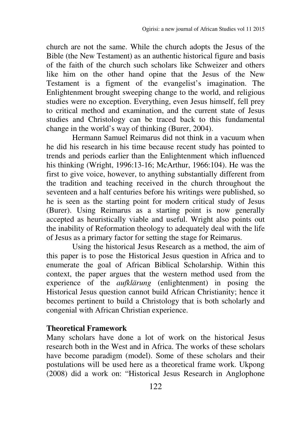church are not the same. While the church adopts the Jesus of the Bible (the New Testament) as an authentic historical figure and basis of the faith of the church such scholars like Schweizer and others like him on the other hand opine that the Jesus of the New Testament is a figment of the evangelist's imagination. The Enlightenment brought sweeping change to the world, and religious studies were no exception. Everything, even Jesus himself, fell prey to critical method and examination, and the current state of Jesus studies and Christology can be traced back to this fundamental change in the world's way of thinking (Burer, 2004).

 Hermann Samuel Reimarus did not think in a vacuum when he did his research in his time because recent study has pointed to trends and periods earlier than the Enlightenment which influenced his thinking (Wright, 1996:13-16; McArthur, 1966:104). He was the first to give voice, however, to anything substantially different from the tradition and teaching received in the church throughout the seventeen and a half centuries before his writings were published, so he is seen as the starting point for modern critical study of Jesus (Burer). Using Reimarus as a starting point is now generally accepted as heuristically viable and useful. Wright also points out the inability of Reformation theology to adequately deal with the life of Jesus as a primary factor for setting the stage for Reimarus.

 Using the historical Jesus Research as a method, the aim of this paper is to pose the Historical Jesus question in Africa and to enumerate the goal of African Biblical Scholarship. Within this context, the paper argues that the western method used from the experience of the *aufklärung* (enlightenment) in posing the Historical Jesus question cannot build African Christianity; hence it becomes pertinent to build a Christology that is both scholarly and congenial with African Christian experience.

# **Theoretical Framework**

Many scholars have done a lot of work on the historical Jesus research both in the West and in Africa. The works of these scholars have become paradigm (model). Some of these scholars and their postulations will be used here as a theoretical frame work. Ukpong (2008) did a work on: "Historical Jesus Research in Anglophone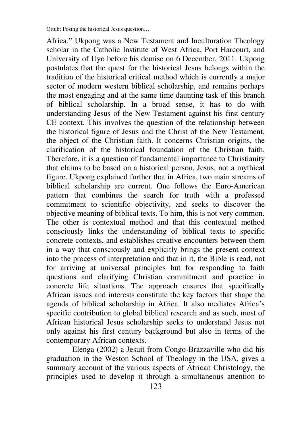Africa." Ukpong was a New Testament and Inculturation Theology scholar in the Catholic Institute of West Africa, Port Harcourt, and University of Uyo before his demise on 6 December, 2011. Ukpong postulates that the quest for the historical Jesus belongs within the tradition of the historical critical method which is currently a major sector of modern western biblical scholarship, and remains perhaps the most engaging and at the same time daunting task of this branch of biblical scholarship. In a broad sense, it has to do with understanding Jesus of the New Testament against his first century CE context. This involves the question of the relationship between the historical figure of Jesus and the Christ of the New Testament, the object of the Christian faith. It concerns Christian origins, the clarification of the historical foundation of the Christian faith. Therefore, it is a question of fundamental importance to Christianity that claims to be based on a historical person, Jesus, not a mythical figure. Ukpong explained further that in Africa, two main streams of biblical scholarship are current. One follows the Euro-American pattern that combines the search for truth with a professed commitment to scientific objectivity, and seeks to discover the objective meaning of biblical texts. To him, this is not very common. The other is contextual method and that this contextual method consciously links the understanding of biblical texts to specific concrete contexts, and establishes creative encounters between them in a way that consciously and explicitly brings the present context into the process of interpretation and that in it, the Bible is read, not for arriving at universal principles but for responding to faith questions and clarifying Christian commitment and practice in concrete life situations. The approach ensures that specifically African issues and interests constitute the key factors that shape the agenda of biblical scholarship in Africa. It also mediates Africa's specific contribution to global biblical research and as such, most of African historical Jesus scholarship seeks to understand Jesus not only against his first century background but also in terms of the contemporary African contexts.

Elenga (2002) a Jesuit from Congo-Brazzaville who did his graduation in the Weston School of Theology in the USA, gives a summary account of the various aspects of African Christology, the principles used to develop it through a simultaneous attention to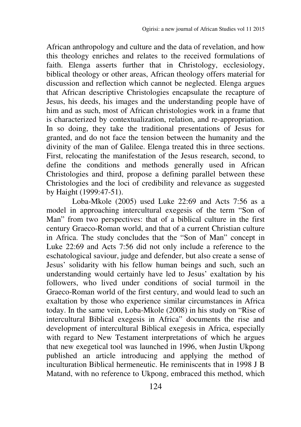African anthropology and culture and the data of revelation, and how this theology enriches and relates to the received formulations of faith. Elenga asserts further that in Christology, ecclesiology, biblical theology or other areas, African theology offers material for discussion and reflection which cannot be neglected. Elenga argues that African descriptive Christologies encapsulate the recapture of Jesus, his deeds, his images and the understanding people have of him and as such, most of African christologies work in a frame that is characterized by contextualization, relation, and re-appropriation. In so doing, they take the traditional presentations of Jesus for granted, and do not face the tension between the humanity and the divinity of the man of Galilee. Elenga treated this in three sections. First, relocating the manifestation of the Jesus research, second, to define the conditions and methods generally used in African Christologies and third, propose a defining parallel between these Christologies and the loci of credibility and relevance as suggested by Haight (1999:47-51).

 Loba-Mkole (2005) used Luke 22:69 and Acts 7:56 as a model in approaching intercultural exegesis of the term "Son of Man" from two perspectives: that of a biblical culture in the first century Graeco-Roman world, and that of a current Christian culture in Africa. The study concludes that the "Son of Man" concept in Luke 22:69 and Acts 7:56 did not only include a reference to the eschatological saviour, judge and defender, but also create a sense of Jesus' solidarity with his fellow human beings and such, such an understanding would certainly have led to Jesus' exaltation by his followers, who lived under conditions of social turmoil in the Graeco-Roman world of the first century, and would lead to such an exaltation by those who experience similar circumstances in Africa today. In the same vein, Loba-Mkole (2008) in his study on "Rise of intercultural Biblical exegesis in Africa" documents the rise and development of intercultural Biblical exegesis in Africa, especially with regard to New Testament interpretations of which he argues that new exegetical tool was launched in 1996, when Justin Ukpong published an article introducing and applying the method of inculturation Biblical hermeneutic. He reminiscents that in 1998 J B Matand, with no reference to Ukpong, embraced this method, which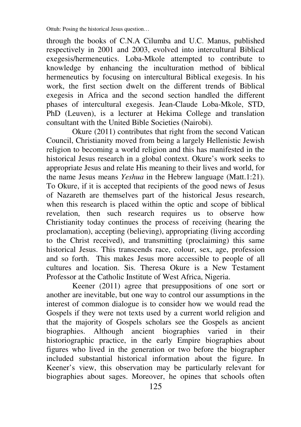through the books of C.N.A Cilumba and U.C. Manus, published respectively in 2001 and 2003, evolved into intercultural Biblical exegesis/hermeneutics. Loba-Mkole attempted to contribute to knowledge by enhancing the inculturation method of biblical hermeneutics by focusing on intercultural Biblical exegesis. In his work, the first section dwelt on the different trends of Biblical exegesis in Africa and the second section handled the different phases of intercultural exegesis. Jean-Claude Loba-Mkole, STD, PhD (Leuven), is a lecturer at Hekima College and translation consultant with the United Bible Societies (Nairobi).

 Okure (2011) contributes that right from the second Vatican Council, Christianity moved from being a largely Hellenistic Jewish religion to becoming a world religion and this has manifested in the historical Jesus research in a global context. Okure's work seeks to appropriate Jesus and relate His meaning to their lives and world, for the name Jesus means *Yeshua* in the Hebrew language (Matt.1:21). To Okure, if it is accepted that recipients of the good news of Jesus of Nazareth are themselves part of the historical Jesus research, when this research is placed within the optic and scope of biblical revelation, then such research requires us to observe how Christianity today continues the process of receiving (hearing the proclamation), accepting (believing), appropriating (living according to the Christ received), and transmitting (proclaiming) this same historical Jesus. This transcends race, colour, sex, age, profession and so forth. This makes Jesus more accessible to people of all cultures and location. Sis. Theresa Okure is a New Testament Professor at the Catholic Institute of West Africa, Nigeria.

 Keener (2011) agree that presuppositions of one sort or another are inevitable, but one way to control our assumptions in the interest of common dialogue is to consider how we would read the Gospels if they were not texts used by a current world religion and that the majority of Gospels scholars see the Gospels as ancient biographies. Although ancient biographies varied in their historiographic practice, in the early Empire biographies about figures who lived in the generation or two before the biographer included substantial historical information about the figure. In Keener's view, this observation may be particularly relevant for biographies about sages. Moreover, he opines that schools often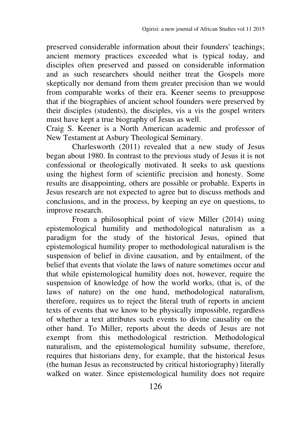preserved considerable information about their founders' teachings; ancient memory practices exceeded what is typical today, and disciples often preserved and passed on considerable information and as such researchers should neither treat the Gospels more skeptically nor demand from them greater precision than we would from comparable works of their era. Keener seems to presuppose that if the biographies of ancient school founders were preserved by their disciples (students), the disciples, vis a vis the gospel writers must have kept a true biography of Jesus as well.

Craig S. Keener is a North American academic and professor of New Testament at Asbury Theological Seminary.

 Charlesworth (2011) revealed that a new study of Jesus began about 1980. In contrast to the previous study of Jesus it is not confessional or theologically motivated. It seeks to ask questions using the highest form of scientific precision and honesty. Some results are disappointing, others are possible or probable. Experts in Jesus research are not expected to agree but to discuss methods and conclusions, and in the process, by keeping an eye on questions, to improve research.

 From a philosophical point of view Miller (2014) using epistemological humility and methodological naturalism as a paradigm for the study of the historical Jesus, opined that epistemological humility proper to methodological naturalism is the suspension of belief in divine causation, and by entailment, of the belief that events that violate the laws of nature sometimes occur and that while epistemological humility does not, however, require the suspension of knowledge of how the world works, (that is, of the laws of nature) on the one hand, methodological naturalism, therefore, requires us to reject the literal truth of reports in ancient texts of events that we know to be physically impossible, regardless of whether a text attributes such events to divine causality on the other hand. To Miller, reports about the deeds of Jesus are not exempt from this methodological restriction. Methodological naturalism, and the epistemological humility subsume, therefore, requires that historians deny, for example, that the historical Jesus (the human Jesus as reconstructed by critical historiography) literally walked on water. Since epistemological humility does not require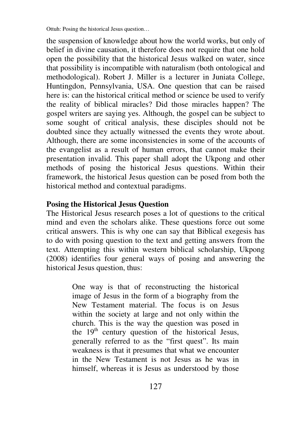the suspension of knowledge about how the world works, but only of belief in divine causation, it therefore does not require that one hold open the possibility that the historical Jesus walked on water, since that possibility is incompatible with naturalism (both ontological and methodological). Robert J. Miller is a lecturer in Juniata College, Huntingdon, Pennsylvania, USA. One question that can be raised here is: can the historical critical method or science be used to verify the reality of biblical miracles? Did those miracles happen? The gospel writers are saying yes. Although, the gospel can be subject to some sought of critical analysis, these disciples should not be doubted since they actually witnessed the events they wrote about. Although, there are some inconsistencies in some of the accounts of the evangelist as a result of human errors, that cannot make their presentation invalid. This paper shall adopt the Ukpong and other methods of posing the historical Jesus questions. Within their framework, the historical Jesus question can be posed from both the historical method and contextual paradigms.

# **Posing the Historical Jesus Question**

The Historical Jesus research poses a lot of questions to the critical mind and even the scholars alike. These questions force out some critical answers. This is why one can say that Biblical exegesis has to do with posing question to the text and getting answers from the text. Attempting this within western biblical scholarship, Ukpong (2008) identifies four general ways of posing and answering the historical Jesus question, thus:

> One way is that of reconstructing the historical image of Jesus in the form of a biography from the New Testament material. The focus is on Jesus within the society at large and not only within the church. This is the way the question was posed in the  $19<sup>th</sup>$  century question of the historical Jesus, generally referred to as the "first quest". Its main weakness is that it presumes that what we encounter in the New Testament is not Jesus as he was in himself, whereas it is Jesus as understood by those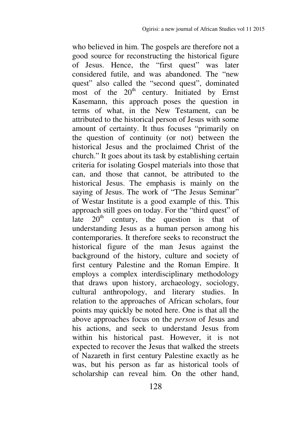who believed in him. The gospels are therefore not a good source for reconstructing the historical figure of Jesus. Hence, the "first quest" was later considered futile, and was abandoned. The "new quest" also called the "second quest", dominated most of the  $20<sup>th</sup>$  century. Initiated by Ernst Kasemann, this approach poses the question in terms of what, in the New Testament, can be attributed to the historical person of Jesus with some amount of certainty. It thus focuses "primarily on the question of continuity (or not) between the historical Jesus and the proclaimed Christ of the church." It goes about its task by establishing certain criteria for isolating Gospel materials into those that can, and those that cannot, be attributed to the historical Jesus. The emphasis is mainly on the saying of Jesus. The work of "The Jesus Seminar" of Westar Institute is a good example of this. This approach still goes on today. For the "third quest" of late  $20<sup>th</sup>$  century, the question is that of understanding Jesus as a human person among his contemporaries. It therefore seeks to reconstruct the historical figure of the man Jesus against the background of the history, culture and society of first century Palestine and the Roman Empire. It employs a complex interdisciplinary methodology that draws upon history, archaeology, sociology, cultural anthropology, and literary studies. In relation to the approaches of African scholars, four points may quickly be noted here. One is that all the above approaches focus on the *person* of Jesus and his actions, and seek to understand Jesus from within his historical past. However, it is not expected to recover the Jesus that walked the streets of Nazareth in first century Palestine exactly as he was, but his person as far as historical tools of scholarship can reveal him. On the other hand,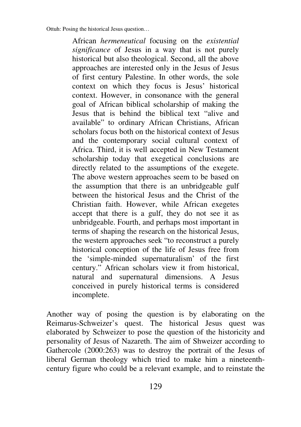African *hermeneutical* focusing on the *existential significance* of Jesus in a way that is not purely historical but also theological. Second, all the above approaches are interested only in the Jesus of Jesus of first century Palestine. In other words, the sole context on which they focus is Jesus' historical context. However, in consonance with the general goal of African biblical scholarship of making the Jesus that is behind the biblical text "alive and available" to ordinary African Christians, African scholars focus both on the historical context of Jesus and the contemporary social cultural context of Africa. Third, it is well accepted in New Testament scholarship today that exegetical conclusions are directly related to the assumptions of the exegete. The above western approaches seem to be based on the assumption that there is an unbridgeable gulf between the historical Jesus and the Christ of the Christian faith. However, while African exegetes accept that there is a gulf, they do not see it as unbridgeable. Fourth, and perhaps most important in terms of shaping the research on the historical Jesus, the western approaches seek "to reconstruct a purely historical conception of the life of Jesus free from the 'simple-minded supernaturalism' of the first century." African scholars view it from historical, natural and supernatural dimensions. A Jesus conceived in purely historical terms is considered incomplete.

Another way of posing the question is by elaborating on the Reimarus-Schweizer's quest. The historical Jesus quest was elaborated by Schweizer to pose the question of the historicity and personality of Jesus of Nazareth. The aim of Shweizer according to Gathercole (2000:263) was to destroy the portrait of the Jesus of liberal German theology which tried to make him a nineteenthcentury figure who could be a relevant example, and to reinstate the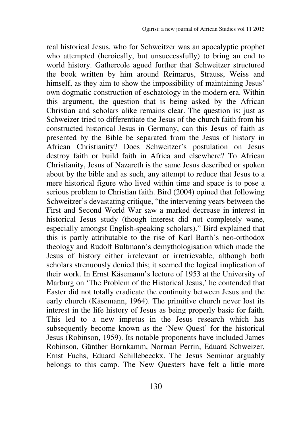real historical Jesus, who for Schweitzer was an apocalyptic prophet who attempted (heroically, but unsuccessfully) to bring an end to world history. Gathercole agued further that Schweitzer structured the book written by him around Reimarus, Strauss, Weiss and himself, as they aim to show the impossibility of maintaining Jesus' own dogmatic construction of eschatology in the modern era. Within this argument, the question that is being asked by the African Christian and scholars alike remains clear. The question is: just as Schweizer tried to differentiate the Jesus of the church faith from his constructed historical Jesus in Germany, can this Jesus of faith as presented by the Bible be separated from the Jesus of history in African Christianity? Does Schweitzer's postulation on Jesus destroy faith or build faith in Africa and elsewhere? To African Christianity, Jesus of Nazareth is the same Jesus described or spoken about by the bible and as such, any attempt to reduce that Jesus to a mere historical figure who lived within time and space is to pose a serious problem to Christian faith. Bird (2004) opined that following Schweitzer's devastating critique, "the intervening years between the First and Second World War saw a marked decrease in interest in historical Jesus study (though interest did not completely wane, especially amongst English-speaking scholars)." Bird explained that this is partly attributable to the rise of Karl Barth's neo-orthodox theology and Rudolf Bultmann's demythologisation which made the Jesus of history either irrelevant or irretrievable, although both scholars strenuously denied this; it seemed the logical implication of their work. In Ernst Käsemann's lecture of 1953 at the University of Marburg on 'The Problem of the Historical Jesus,' he contended that Easter did not totally eradicate the continuity between Jesus and the early church (Käsemann, 1964). The primitive church never lost its interest in the life history of Jesus as being properly basic for faith. This led to a new impetus in the Jesus research which has subsequently become known as the 'New Quest' for the historical Jesus (Robinson, 1959). Its notable proponents have included James Robinson, Günther Bornkamm, Norman Perrin, Eduard Schweizer, Ernst Fuchs, Eduard Schillebeeckx. The Jesus Seminar arguably belongs to this camp. The New Questers have felt a little more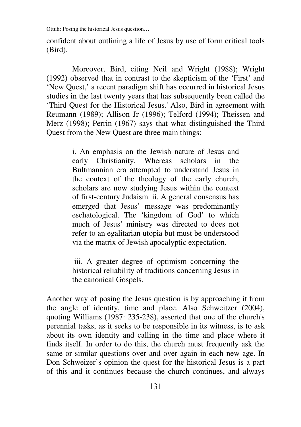confident about outlining a life of Jesus by use of form critical tools (Bird).

 Moreover, Bird, citing Neil and Wright (1988); Wright (1992) observed that in contrast to the skepticism of the 'First' and 'New Quest,' a recent paradigm shift has occurred in historical Jesus studies in the last twenty years that has subsequently been called the 'Third Quest for the Historical Jesus.' Also, Bird in agreement with Reumann (1989); Allison Jr (1996); Telford (1994); Theissen and Merz (1998); Perrin (1967) says that what distinguished the Third Quest from the New Quest are three main things:

> i. An emphasis on the Jewish nature of Jesus and early Christianity. Whereas scholars in the Bultmannian era attempted to understand Jesus in the context of the theology of the early church, scholars are now studying Jesus within the context of first-century Judaism. ii. A general consensus has emerged that Jesus' message was predominantly eschatological. The 'kingdom of God' to which much of Jesus' ministry was directed to does not refer to an egalitarian utopia but must be understood via the matrix of Jewish apocalyptic expectation.

> iii. A greater degree of optimism concerning the historical reliability of traditions concerning Jesus in the canonical Gospels.

Another way of posing the Jesus question is by approaching it from the angle of identity, time and place. Also Schweitzer (2004), quoting Williams (1987: 235-238), asserted that one of the church's perennial tasks, as it seeks to be responsible in its witness, is to ask about its own identity and calling in the time and place where it finds itself. In order to do this, the church must frequently ask the same or similar questions over and over again in each new age. In Don Schweizer's opinion the quest for the historical Jesus is a part of this and it continues because the church continues, and always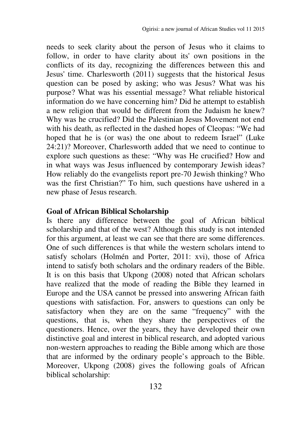needs to seek clarity about the person of Jesus who it claims to follow, in order to have clarity about its' own positions in the conflicts of its day, recognizing the differences between this and Jesus' time. Charlesworth (2011) suggests that the historical Jesus question can be posed by asking; who was Jesus? What was his purpose? What was his essential message? What reliable historical information do we have concerning him? Did he attempt to establish a new religion that would be different from the Judaism he knew? Why was he crucified? Did the Palestinian Jesus Movement not end with his death, as reflected in the dashed hopes of Cleopas: "We had hoped that he is (or was) the one about to redeem Israel" (Luke 24:21)? Moreover, Charlesworth added that we need to continue to explore such questions as these: "Why was He crucified? How and in what ways was Jesus influenced by contemporary Jewish ideas? How reliably do the evangelists report pre-70 Jewish thinking? Who was the first Christian?" To him, such questions have ushered in a new phase of Jesus research.

## **Goal of African Biblical Scholarship**

Is there any difference between the goal of African biblical scholarship and that of the west? Although this study is not intended for this argument, at least we can see that there are some differences. One of such differences is that while the western scholars intend to satisfy scholars (Holmén and Porter, 2011: xvi), those of Africa intend to satisfy both scholars and the ordinary readers of the Bible. It is on this basis that Ukpong (2008) noted that African scholars have realized that the mode of reading the Bible they learned in Europe and the USA cannot be pressed into answering African faith questions with satisfaction. For, answers to questions can only be satisfactory when they are on the same "frequency" with the questions, that is, when they share the perspectives of the questioners. Hence, over the years, they have developed their own distinctive goal and interest in biblical research, and adopted various non-western approaches to reading the Bible among which are those that are informed by the ordinary people's approach to the Bible. Moreover, Ukpong (2008) gives the following goals of African biblical scholarship: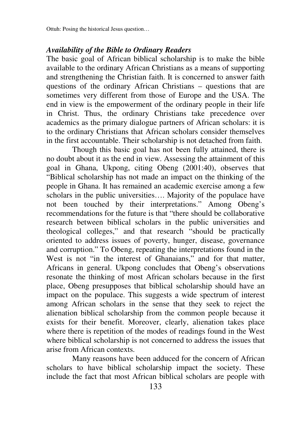## *Availability of the Bible to Ordinary Readers*

The basic goal of African biblical scholarship is to make the bible available to the ordinary African Christians as a means of supporting and strengthening the Christian faith. It is concerned to answer faith questions of the ordinary African Christians – questions that are sometimes very different from those of Europe and the USA. The end in view is the empowerment of the ordinary people in their life in Christ. Thus, the ordinary Christians take precedence over academics as the primary dialogue partners of African scholars: it is to the ordinary Christians that African scholars consider themselves in the first accountable. Their scholarship is not detached from faith.

 Though this basic goal has not been fully attained, there is no doubt about it as the end in view. Assessing the attainment of this goal in Ghana, Ukpong, citing Obeng (2001:40), observes that "Biblical scholarship has not made an impact on the thinking of the people in Ghana. It has remained an academic exercise among a few scholars in the public universities…. Majority of the populace have not been touched by their interpretations." Among Obeng's recommendations for the future is that "there should be collaborative research between biblical scholars in the public universities and theological colleges," and that research "should be practically oriented to address issues of poverty, hunger, disease, governance and corruption." To Obeng, repeating the interpretations found in the West is not "in the interest of Ghanaians," and for that matter, Africans in general. Ukpong concludes that Obeng's observations resonate the thinking of most African scholars because in the first place, Obeng presupposes that biblical scholarship should have an impact on the populace. This suggests a wide spectrum of interest among African scholars in the sense that they seek to reject the alienation biblical scholarship from the common people because it exists for their benefit. Moreover, clearly, alienation takes place where there is repetition of the modes of readings found in the West where biblical scholarship is not concerned to address the issues that arise from African contexts.

 Many reasons have been adduced for the concern of African scholars to have biblical scholarship impact the society. These include the fact that most African biblical scholars are people with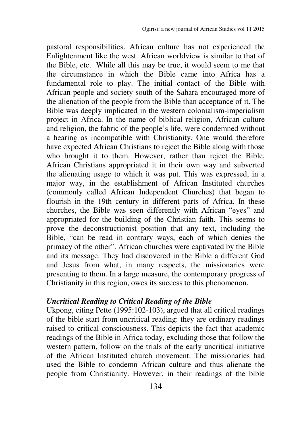pastoral responsibilities. African culture has not experienced the Enlightenment like the west. African worldview is similar to that of the Bible, etc. While all this may be true, it would seem to me that the circumstance in which the Bible came into Africa has a fundamental role to play. The initial contact of the Bible with African people and society south of the Sahara encouraged more of the alienation of the people from the Bible than acceptance of it. The Bible was deeply implicated in the western colonialism-imperialism project in Africa. In the name of biblical religion, African culture and religion, the fabric of the people's life, were condemned without a hearing as incompatible with Christianity. One would therefore have expected African Christians to reject the Bible along with those who brought it to them. However, rather than reject the Bible, African Christians appropriated it in their own way and subverted the alienating usage to which it was put. This was expressed, in a major way, in the establishment of African Instituted churches (commonly called African Independent Churches) that began to flourish in the 19th century in different parts of Africa. In these churches, the Bible was seen differently with African "eyes" and appropriated for the building of the Christian faith. This seems to prove the deconstructionist position that any text, including the Bible, "can be read in contrary ways, each of which denies the primacy of the other". African churches were captivated by the Bible and its message. They had discovered in the Bible a different God and Jesus from what, in many respects, the missionaries were presenting to them. In a large measure, the contemporary progress of Christianity in this region, owes its success to this phenomenon.

# *Uncritical Reading to Critical Reading of the Bible*

Ukpong, citing Pette (1995:102-103), argued that all critical readings of the bible start from uncritical reading: they are ordinary readings raised to critical consciousness. This depicts the fact that academic readings of the Bible in Africa today, excluding those that follow the western pattern, follow on the trials of the early uncritical initiative of the African Instituted church movement. The missionaries had used the Bible to condemn African culture and thus alienate the people from Christianity. However, in their readings of the bible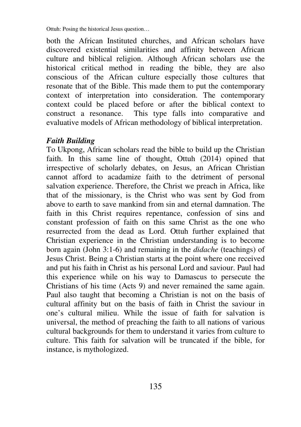both the African Instituted churches, and African scholars have discovered existential similarities and affinity between African culture and biblical religion. Although African scholars use the historical critical method in reading the bible, they are also conscious of the African culture especially those cultures that resonate that of the Bible. This made them to put the contemporary context of interpretation into consideration. The contemporary context could be placed before or after the biblical context to construct a resonance. This type falls into comparative and evaluative models of African methodology of biblical interpretation.

## *Faith Building*

To Ukpong, African scholars read the bible to build up the Christian faith. In this same line of thought, Ottuh (2014) opined that irrespective of scholarly debates, on Jesus, an African Christian cannot afford to acadamize faith to the detriment of personal salvation experience. Therefore, the Christ we preach in Africa, like that of the missionary, is the Christ who was sent by God from above to earth to save mankind from sin and eternal damnation. The faith in this Christ requires repentance, confession of sins and constant profession of faith on this same Christ as the one who resurrected from the dead as Lord. Ottuh further explained that Christian experience in the Christian understanding is to become born again (John 3:1-6) and remaining in the *didache* (teachings) of Jesus Christ. Being a Christian starts at the point where one received and put his faith in Christ as his personal Lord and saviour. Paul had this experience while on his way to Damascus to persecute the Christians of his time (Acts 9) and never remained the same again. Paul also taught that becoming a Christian is not on the basis of cultural affinity but on the basis of faith in Christ the saviour in one's cultural milieu. While the issue of faith for salvation is universal, the method of preaching the faith to all nations of various cultural backgrounds for them to understand it varies from culture to culture. This faith for salvation will be truncated if the bible, for instance, is mythologized.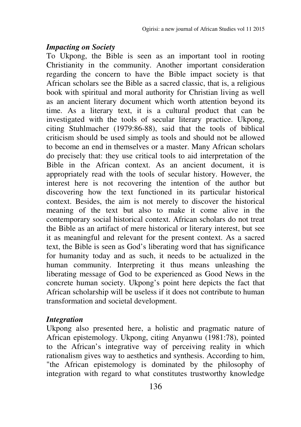#### *Impacting on Society*

To Ukpong, the Bible is seen as an important tool in rooting Christianity in the community. Another important consideration regarding the concern to have the Bible impact society is that African scholars see the Bible as a sacred classic, that is, a religious book with spiritual and moral authority for Christian living as well as an ancient literary document which worth attention beyond its time. As a literary text, it is a cultural product that can be investigated with the tools of secular literary practice. Ukpong, citing Stuhlmacher (1979:86-88), said that the tools of biblical criticism should be used simply as tools and should not be allowed to become an end in themselves or a master. Many African scholars do precisely that: they use critical tools to aid interpretation of the Bible in the African context. As an ancient document, it is appropriately read with the tools of secular history. However, the interest here is not recovering the intention of the author but discovering how the text functioned in its particular historical context. Besides, the aim is not merely to discover the historical meaning of the text but also to make it come alive in the contemporary social historical context. African scholars do not treat the Bible as an artifact of mere historical or literary interest, but see it as meaningful and relevant for the present context. As a sacred text, the Bible is seen as God's liberating word that has significance for humanity today and as such, it needs to be actualized in the human community. Interpreting it thus means unleashing the liberating message of God to be experienced as Good News in the concrete human society. Ukpong's point here depicts the fact that African scholarship will be useless if it does not contribute to human transformation and societal development.

## *Integration*

Ukpong also presented here, a holistic and pragmatic nature of African epistemology. Ukpong, citing Anyanwu (1981:78), pointed to the African's integrative way of perceiving reality in which rationalism gives way to aesthetics and synthesis. According to him, "the African epistemology is dominated by the philosophy of integration with regard to what constitutes trustworthy knowledge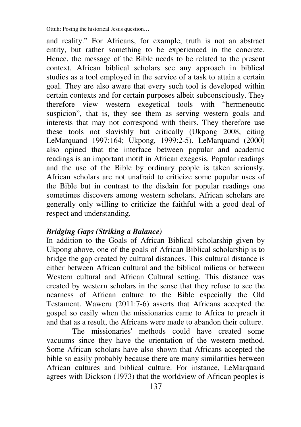and reality." For Africans, for example, truth is not an abstract entity, but rather something to be experienced in the concrete. Hence, the message of the Bible needs to be related to the present context. African biblical scholars see any approach in biblical studies as a tool employed in the service of a task to attain a certain goal. They are also aware that every such tool is developed within certain contexts and for certain purposes albeit subconsciously. They therefore view western exegetical tools with "hermeneutic suspicion", that is, they see them as serving western goals and interests that may not correspond with theirs. They therefore use these tools not slavishly but critically (Ukpong 2008, citing LeMarquand 1997:164; Ukpong, 1999:2-5). LeMarquand (2000) also opined that the interface between popular and academic readings is an important motif in African exegesis. Popular readings and the use of the Bible by ordinary people is taken seriously. African scholars are not unafraid to criticize some popular uses of the Bible but in contrast to the disdain for popular readings one sometimes discovers among western scholars, African scholars are generally only willing to criticize the faithful with a good deal of respect and understanding.

# *Bridging Gaps (Striking a Balance)*

In addition to the Goals of African Biblical scholarship given by Ukpong above, one of the goals of African Biblical scholarship is to bridge the gap created by cultural distances. This cultural distance is either between African cultural and the biblical milieus or between Western cultural and African Cultural setting. This distance was created by western scholars in the sense that they refuse to see the nearness of African culture to the Bible especially the Old Testament. Waweru (2011:7-6) asserts that Africans accepted the gospel so easily when the missionaries came to Africa to preach it and that as a result, the Africans were made to abandon their culture.

 The missionaries' methods could have created some vacuums since they have the orientation of the western method. Some African scholars have also shown that Africans accepted the bible so easily probably because there are many similarities between African cultures and biblical culture. For instance, LeMarquand agrees with Dickson (1973) that the worldview of African peoples is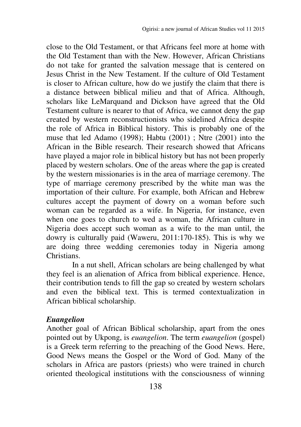close to the Old Testament, or that Africans feel more at home with the Old Testament than with the New. However, African Christians do not take for granted the salvation message that is centered on Jesus Christ in the New Testament. If the culture of Old Testament is closer to African culture, how do we justify the claim that there is a distance between biblical milieu and that of Africa. Although, scholars like LeMarquand and Dickson have agreed that the Old Testament culture is nearer to that of Africa, we cannot deny the gap created by western reconstructionists who sidelined Africa despite the role of Africa in Biblical history. This is probably one of the muse that led Adamo (1998); Habtu (2001) ; Ntre (2001) into the African in the Bible research. Their research showed that Africans have played a major role in biblical history but has not been properly placed by western scholars. One of the areas where the gap is created by the western missionaries is in the area of marriage ceremony. The type of marriage ceremony prescribed by the white man was the importation of their culture. For example, both African and Hebrew cultures accept the payment of dowry on a woman before such woman can be regarded as a wife. In Nigeria, for instance, even when one goes to church to wed a woman, the African culture in Nigeria does accept such woman as a wife to the man until, the dowry is culturally paid (Waweru, 2011:170-185). This is why we are doing three wedding ceremonies today in Nigeria among Christians.

 In a nut shell, African scholars are being challenged by what they feel is an alienation of Africa from biblical experience. Hence, their contribution tends to fill the gap so created by western scholars and even the biblical text. This is termed contextualization in African biblical scholarship.

# *Euangelion*

Another goal of African Biblical scholarship, apart from the ones pointed out by Ukpong, is *euangelion*. The term *euangelion* (gospel) is a Greek term referring to the preaching of the Good News. Here, Good News means the Gospel or the Word of God. Many of the scholars in Africa are pastors (priests) who were trained in church oriented theological institutions with the consciousness of winning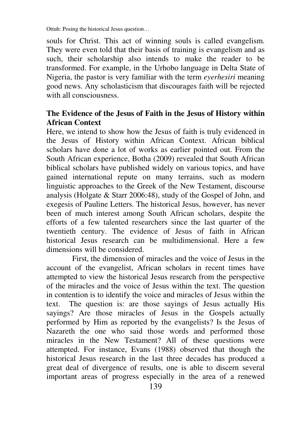souls for Christ. This act of winning souls is called evangelism. They were even told that their basis of training is evangelism and as such, their scholarship also intends to make the reader to be transformed. For example, in the Urhobo language in Delta State of Nigeria, the pastor is very familiar with the term *eyerhesiri* meaning good news. Any scholasticism that discourages faith will be rejected with all consciousness.

# **The Evidence of the Jesus of Faith in the Jesus of History within African Context**

Here, we intend to show how the Jesus of faith is truly evidenced in the Jesus of History within African Context. African biblical scholars have done a lot of works as earlier pointed out. From the South African experience, Botha (2009) revealed that South African biblical scholars have published widely on various topics, and have gained international repute on many terrains, such as modern linguistic approaches to the Greek of the New Testament, discourse analysis (Holgate & Starr 2006:48), study of the Gospel of John, and exegesis of Pauline Letters. The historical Jesus, however, has never been of much interest among South African scholars, despite the efforts of a few talented researchers since the last quarter of the twentieth century. The evidence of Jesus of faith in African historical Jesus research can be multidimensional. Here a few dimensions will be considered.

 First, the dimension of miracles and the voice of Jesus in the account of the evangelist, African scholars in recent times have attempted to view the historical Jesus research from the perspective of the miracles and the voice of Jesus within the text. The question in contention is to identify the voice and miracles of Jesus within the text. The question is: are those sayings of Jesus actually His sayings? Are those miracles of Jesus in the Gospels actually performed by Him as reported by the evangelists? Is the Jesus of Nazareth the one who said those words and performed those miracles in the New Testament? All of these questions were attempted. For instance, Evans (1988) observed that though the historical Jesus research in the last three decades has produced a great deal of divergence of results, one is able to discern several important areas of progress especially in the area of a renewed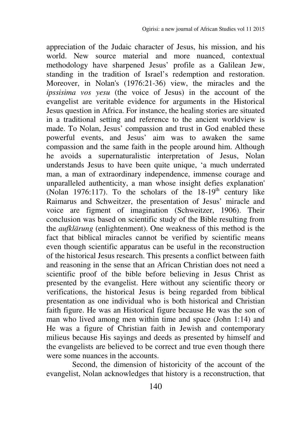appreciation of the Judaic character of Jesus, his mission, and his world. New source material and more nuanced, contextual methodology have sharpened Jesus' profile as a Galilean Jew, standing in the tradition of Israel's redemption and restoration. Moreover, in Nolan's (1976:21-36) view, the miracles and the *ipssisima vos yesu* (the voice of Jesus) in the account of the evangelist are veritable evidence for arguments in the Historical Jesus question in Africa. For instance, the healing stories are situated in a traditional setting and reference to the ancient worldview is made. To Nolan, Jesus' compassion and trust in God enabled these powerful events, and Jesus' aim was to awaken the same compassion and the same faith in the people around him. Although he avoids a supernaturalistic interpretation of Jesus, Nolan understands Jesus to have been quite unique, 'a much underrated man, a man of extraordinary independence, immense courage and unparalleled authenticity, a man whose insight defies explanation' (Nolan 1976:117). To the scholars of the  $18-19<sup>th</sup>$  century like Raimarus and Schweitzer, the presentation of Jesus' miracle and voice are figment of imagination (Schweitzer, 1906). Their conclusion was based on scientific study of the Bible resulting from the *aufklärung* (enlightenment). One weakness of this method is the fact that biblical miracles cannot be verified by scientific means even though scientific apparatus can be useful in the reconstruction of the historical Jesus research. This presents a conflict between faith and reasoning in the sense that an African Christian does not need a scientific proof of the bible before believing in Jesus Christ as presented by the evangelist. Here without any scientific theory or verifications, the historical Jesus is being regarded from biblical presentation as one individual who is both historical and Christian faith figure. He was an Historical figure because He was the son of man who lived among men within time and space (John 1:14) and He was a figure of Christian faith in Jewish and contemporary milieus because His sayings and deeds as presented by himself and the evangelists are believed to be correct and true even though there were some nuances in the accounts.

 Second, the dimension of historicity of the account of the evangelist, Nolan acknowledges that history is a reconstruction, that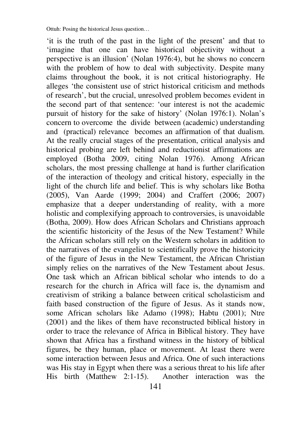'it is the truth of the past in the light of the present' and that to 'imagine that one can have historical objectivity without a perspective is an illusion' (Nolan 1976:4), but he shows no concern with the problem of how to deal with subjectivity. Despite many claims throughout the book, it is not critical historiography. He alleges 'the consistent use of strict historical criticism and methods of research', but the crucial, unresolved problem becomes evident in the second part of that sentence: 'our interest is not the academic pursuit of history for the sake of history' (Nolan 1976:1). Nolan's concern to overcome the divide between (academic) understanding and (practical) relevance becomes an affirmation of that dualism. At the really crucial stages of the presentation, critical analysis and historical probing are left behind and reductionist affirmations are employed (Botha 2009, citing Nolan 1976). Among African scholars, the most pressing challenge at hand is further clarification of the interaction of theology and critical history, especially in the light of the church life and belief. This is why scholars like Botha (2005), Van Aarde (1999; 2004) and Craffert (2006; 2007) emphasize that a deeper understanding of reality, with a more holistic and complexifying approach to controversies, is unavoidable (Botha, 2009). How does African Scholars and Christians approach the scientific historicity of the Jesus of the New Testament? While the African scholars still rely on the Western scholars in addition to the narratives of the evangelist to scientifically prove the historicity of the figure of Jesus in the New Testament, the African Christian simply relies on the narratives of the New Testament about Jesus. One task which an African biblical scholar who intends to do a research for the church in Africa will face is, the dynamism and creativism of striking a balance between critical scholasticism and faith based construction of the figure of Jesus. As it stands now, some African scholars like Adamo (1998); Habtu (2001); Ntre (2001) and the likes of them have reconstructed biblical history in order to trace the relevance of Africa in Biblical history. They have shown that Africa has a firsthand witness in the history of biblical figures, be they human, place or movement. At least there were some interaction between Jesus and Africa. One of such interactions was His stay in Egypt when there was a serious threat to his life after His birth (Matthew 2:1-15). Another interaction was the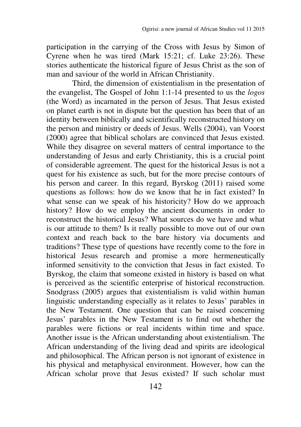participation in the carrying of the Cross with Jesus by Simon of Cyrene when he was tired (Mark 15:21; cf. Luke 23:26). These stories authenticate the historical figure of Jesus Christ as the son of man and saviour of the world in African Christianity.

 Third, the dimension of existentialism in the presentation of the evangelist, The Gospel of John 1:1-14 presented to us the *logos* (the Word) as incarnated in the person of Jesus. That Jesus existed on planet earth is not in dispute but the question has been that of an identity between biblically and scientifically reconstructed history on the person and ministry or deeds of Jesus. Wells (2004), van Voorst (2000) agree that biblical scholars are convinced that Jesus existed. While they disagree on several matters of central importance to the understanding of Jesus and early Christianity, this is a crucial point of considerable agreement. The quest for the historical Jesus is not a quest for his existence as such, but for the more precise contours of his person and career. In this regard, Byrskog (2011) raised some questions as follows: how do we know that he in fact existed? In what sense can we speak of his historicity? How do we approach history? How do we employ the ancient documents in order to reconstruct the historical Jesus? What sources do we have and what is our attitude to them? Is it really possible to move out of our own context and reach back to the bare history via documents and traditions? These type of questions have recently come to the fore in historical Jesus research and promise a more hermeneutically informed sensitivity to the conviction that Jesus in fact existed. To Byrskog, the claim that someone existed in history is based on what is perceived as the scientific enterprise of historical reconstruction. Snodgrass (2005) argues that existentialism is valid within human linguistic understanding especially as it relates to Jesus' parables in the New Testament. One question that can be raised concerning Jesus' parables in the New Testament is to find out whether the parables were fictions or real incidents within time and space. Another issue is the African understanding about existentialism. The African understanding of the living dead and spirits are ideological and philosophical. The African person is not ignorant of existence in his physical and metaphysical environment. However, how can the African scholar prove that Jesus existed? If such scholar must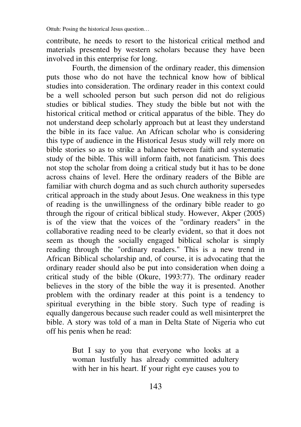contribute, he needs to resort to the historical critical method and materials presented by western scholars because they have been involved in this enterprise for long.

 Fourth, the dimension of the ordinary reader, this dimension puts those who do not have the technical know how of biblical studies into consideration. The ordinary reader in this context could be a well schooled person but such person did not do religious studies or biblical studies. They study the bible but not with the historical critical method or critical apparatus of the bible. They do not understand deep scholarly approach but at least they understand the bible in its face value. An African scholar who is considering this type of audience in the Historical Jesus study will rely more on bible stories so as to strike a balance between faith and systematic study of the bible. This will inform faith, not fanaticism. This does not stop the scholar from doing a critical study but it has to be done across chains of level. Here the ordinary readers of the Bible are familiar with church dogma and as such church authority supersedes critical approach in the study about Jesus. One weakness in this type of reading is the unwillingness of the ordinary bible reader to go through the rigour of critical biblical study. However, Akper (2005) is of the view that the voices of the "ordinary readers" in the collaborative reading need to be clearly evident, so that it does not seem as though the socially engaged biblical scholar is simply reading through the "ordinary readers." This is a new trend in African Biblical scholarship and, of course, it is advocating that the ordinary reader should also be put into consideration when doing a critical study of the bible (Okure, 1993:77). The ordinary reader believes in the story of the bible the way it is presented. Another problem with the ordinary reader at this point is a tendency to spiritual everything in the bible story. Such type of reading is equally dangerous because such reader could as well misinterpret the bible. A story was told of a man in Delta State of Nigeria who cut off his penis when he read:

> But I say to you that everyone who looks at a woman lustfully has already committed adultery with her in his heart. If your right eye causes you to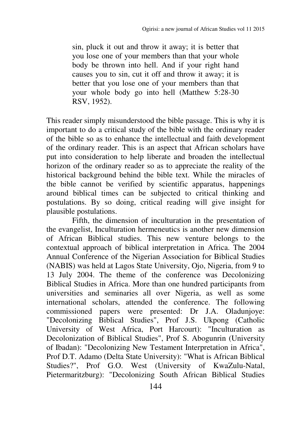sin, pluck it out and throw it away; it is better that you lose one of your members than that your whole body be thrown into hell. And if your right hand causes you to sin, cut it off and throw it away; it is better that you lose one of your members than that your whole body go into hell (Matthew 5:28-30 RSV, 1952).

This reader simply misunderstood the bible passage. This is why it is important to do a critical study of the bible with the ordinary reader of the bible so as to enhance the intellectual and faith development of the ordinary reader. This is an aspect that African scholars have put into consideration to help liberate and broaden the intellectual horizon of the ordinary reader so as to appreciate the reality of the historical background behind the bible text. While the miracles of the bible cannot be verified by scientific apparatus, happenings around biblical times can be subjected to critical thinking and postulations. By so doing, critical reading will give insight for plausible postulations.

 Fifth, the dimension of inculturation in the presentation of the evangelist, Inculturation hermeneutics is another new dimension of African Biblical studies. This new venture belongs to the contextual approach of biblical interpretation in Africa. The 2004 Annual Conference of the Nigerian Association for Biblical Studies (NABIS) was held at Lagos State University, Ojo, Nigeria, from 9 to 13 July 2004. The theme of the conference was Decolonizing Biblical Studies in Africa. More than one hundred participants from universities and seminaries all over Nigeria, as well as some international scholars, attended the conference. The following commissioned papers were presented: Dr J.A. Oladunjoye: "Decolonizing Biblical Studies", Prof J.S. Ukpong (Catholic University of West Africa, Port Harcourt): "Inculturation as Decolonization of Biblical Studies", Prof S. Abogunrin (University of Ibadan): "Decolonizing New Testament Interpretation in Africa", Prof D.T. Adamo (Delta State University): "What is African Biblical Studies?", Prof G.O. West (University of KwaZulu-Natal, Pietermaritzburg): "Decolonizing South African Biblical Studies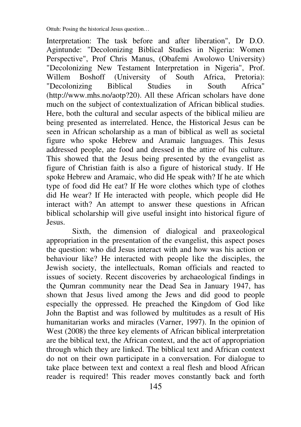Interpretation: The task before and after liberation", Dr D.O. Agintunde: "Decolonizing Biblical Studies in Nigeria: Women Perspective", Prof Chris Manus, (Obafemi Awolowo University) "Decolonizing New Testament Interpretation in Nigeria", Prof. Willem Boshoff (University of South Africa, Pretoria): "Decolonizing Biblical Studies in South Africa" (http://www.mhs.no/aotp?20). All these African scholars have done much on the subject of contextualization of African biblical studies. Here, both the cultural and secular aspects of the biblical milieu are being presented as interrelated. Hence, the Historical Jesus can be seen in African scholarship as a man of biblical as well as societal figure who spoke Hebrew and Aramaic languages. This Jesus addressed people, ate food and dressed in the attire of his culture. This showed that the Jesus being presented by the evangelist as figure of Christian faith is also a figure of historical study. If He spoke Hebrew and Aramaic, who did He speak with? If he ate which type of food did He eat? If He wore clothes which type of clothes did He wear? If He interacted with people, which people did He interact with? An attempt to answer these questions in African biblical scholarship will give useful insight into historical figure of Jesus.

 Sixth, the dimension of dialogical and praxeological appropriation in the presentation of the evangelist, this aspect poses the question: who did Jesus interact with and how was his action or behaviour like? He interacted with people like the disciples, the Jewish society, the intellectuals, Roman officials and reacted to issues of society. Recent discoveries by archaeological findings in the Qumran community near the Dead Sea in January 1947, has shown that Jesus lived among the Jews and did good to people especially the oppressed. He preached the Kingdom of God like John the Baptist and was followed by multitudes as a result of His humanitarian works and miracles (Varner, 1997). In the opinion of West (2008) the three key elements of African biblical interpretation are the biblical text, the African context, and the act of appropriation through which they are linked. The biblical text and African context do not on their own participate in a conversation. For dialogue to take place between text and context a real flesh and blood African reader is required! This reader moves constantly back and forth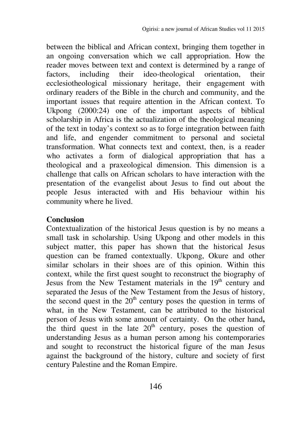between the biblical and African context, bringing them together in an ongoing conversation which we call appropriation. How the reader moves between text and context is determined by a range of factors, including their ideo-theological orientation, their ecclesiotheological missionary heritage, their engagement with ordinary readers of the Bible in the church and community, and the important issues that require attention in the African context. To Ukpong (2000:24) one of the important aspects of biblical scholarship in Africa is the actualization of the theological meaning of the text in today's context so as to forge integration between faith and life, and engender commitment to personal and societal transformation. What connects text and context, then, is a reader who activates a form of dialogical appropriation that has a theological and a praxeological dimension. This dimension is a challenge that calls on African scholars to have interaction with the presentation of the evangelist about Jesus to find out about the people Jesus interacted with and His behaviour within his community where he lived.

## **Conclusion**

Contextualization of the historical Jesus question is by no means a small task in scholarship. Using Ukpong and other models in this subject matter, this paper has shown that the historical Jesus question can be framed contextually. Ukpong, Okure and other similar scholars in their shoes are of this opinion. Within this context, while the first quest sought to reconstruct the biography of Jesus from the New Testament materials in the  $19<sup>th</sup>$  century and separated the Jesus of the New Testament from the Jesus of history, the second quest in the  $20<sup>th</sup>$  century poses the question in terms of what, in the New Testament, can be attributed to the historical person of Jesus with some amount of certainty. On the other hand**,**  the third quest in the late  $20<sup>th</sup>$  century, poses the question of understanding Jesus as a human person among his contemporaries and sought to reconstruct the historical figure of the man Jesus against the background of the history, culture and society of first century Palestine and the Roman Empire.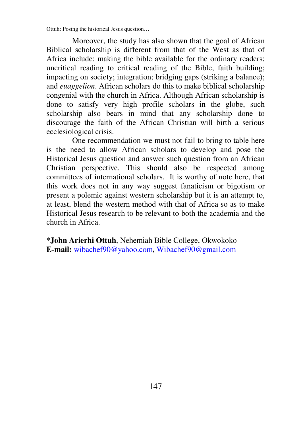Moreover, the study has also shown that the goal of African Biblical scholarship is different from that of the West as that of Africa include: making the bible available for the ordinary readers; uncritical reading to critical reading of the Bible, faith building; impacting on society; integration; bridging gaps (striking a balance); and *euaggelion*. African scholars do this to make biblical scholarship congenial with the church in Africa. Although African scholarship is done to satisfy very high profile scholars in the globe, such scholarship also bears in mind that any scholarship done to discourage the faith of the African Christian will birth a serious ecclesiological crisis.

 One recommendation we must not fail to bring to table here is the need to allow African scholars to develop and pose the Historical Jesus question and answer such question from an African Christian perspective. This should also be respected among committees of international scholars. It is worthy of note here, that this work does not in any way suggest fanaticism or bigotism or present a polemic against western scholarship but it is an attempt to, at least, blend the western method with that of Africa so as to make Historical Jesus research to be relevant to both the academia and the church in Africa.

\***John Arierhi Ottuh**, Nehemiah Bible College, Okwokoko **E-mail:** wibachef90@yahoo.com**,** Wibachef90@gmail.com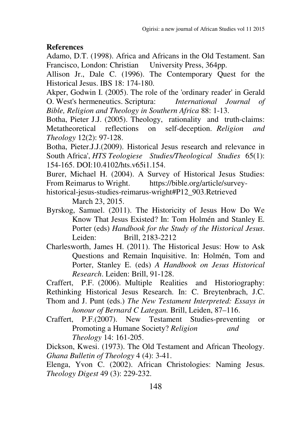# **References**

Adamo, D.T. (1998). Africa and Africans in the Old Testament. San Francisco, London: Christian University Press, 364pp.

Allison Jr., Dale C. (1996). The Contemporary Quest for the Historical Jesus. IBS 18: 174-180.

Akper, Godwin I. (2005). The role of the 'ordinary reader' in Gerald O. West's hermeneutics. Scriptura: *International Journal of Bible, Religion and Theology in Southern Africa* 88: 1-13.

Botha, Pieter J.J. (2005). Theology, rationality and truth-claims: Metatheoretical reflections on self-deception. *Religion and Theology* 12(2): 97-128.

Botha, Pieter.J.J.(2009). Historical Jesus research and relevance in South Africa', *HTS Teologiese Studies/Theological Studies* 65(1): 154-165. DOI:10.4102/hts.v65i1.154.

Burer, Michael H. (2004). A Survey of Historical Jesus Studies: From Reimarus to Wright. https://bible.org/article/survey-

historical-jesus-studies-reimarus-wright#P12\_903.Retrieved March 23, 2015.

- Byrskog, Samuel. (2011). The Historicity of Jesus How Do We Know That Jesus Existed? In: Tom Holmén and Stanley E. Porter (eds) *Handbook for the Study of the Historical Jesus*. Leiden: Brill, 2183-2212
- Charlesworth, James H. (2011). The Historical Jesus: How to Ask Questions and Remain Inquisitive. In: Holmén, Tom and Porter, Stanley E. (eds) *A Handbook on Jesus Historical Research*. Leiden: Brill, 91-128.

Craffert, P.F. (2006). Multiple Realities and Historiography:

Rethinking Historical Jesus Research. In: C. Breytenbrach, J.C.

- Thom and J. Punt (eds.) *The New Testament Interpreted: Essays in honour of Bernard C Lategan.* Brill, Leiden, 87–116.
- Craffert, P.F.(2007). New Testament Studies-preventing or Promoting a Humane Society? *Religion and Theology* 14: 161-205.

Dickson, Kwesi. (1973). The Old Testament and African Theology. *Ghana Bulletin of Theology* 4 (4): 3-41.

Elenga, Yvon C. (2002). African Christologies: Naming Jesus. *Theology Digest* 49 (3): 229-232.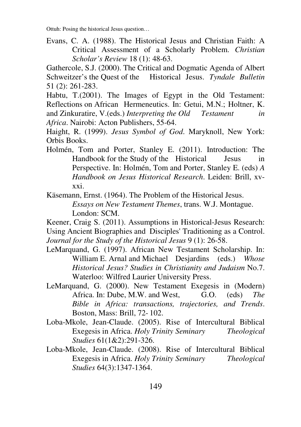Evans, C. A. (1988). The Historical Jesus and Christian Faith: A Critical Assessment of a Scholarly Problem. *Christian Scholar's Review* 18 (1): 48-63.

Gathercole, S.J. (2000). The Critical and Dogmatic Agenda of Albert Schweitzer's the Quest of the Historical Jesus. *Tyndale Bulletin* 51 (2): 261-283.

Habtu, T.(2001). The Images of Egypt in the Old Testament: Reflections on African Hermeneutics. In: Getui, M.N.; Holtner, K. and Zinkuratire, V.(eds.) *Interpreting the Old Testament in Africa*. Nairobi: Acton Publishers, 55-64.

Haight, R. (1999). *Jesus Symbol of God*. Maryknoll, New York: Orbis Books.

- Holmén, Tom and Porter, Stanley E. (2011). Introduction: The Handbook for the Study of the Historical Jesus in Perspective. In: Holmén, Tom and Porter, Stanley E. (eds) *A Handbook on Jesus Historical Research*. Leiden: Brill, xvxxi.
- Käsemann, Ernst. (1964). The Problem of the Historical Jesus. *Essays on New Testament Themes*, trans. W.J. Montague. London: SCM.

Keener, Craig S. (2011). Assumptions in Historical-Jesus Research: Using Ancient Biographies and Disciples' Traditioning as a Control. *Journal for the Study of the Historical Jesus* 9 (1): 26-58.

- LeMarquand, G. (1997). African New Testament Scholarship. In: William E. Arnal and Michael Desjardins (eds.) *Whose Historical Jesus? Studies in Christianity and Judaism* No.7. Waterloo: Wilfred Laurier University Press.
- LeMarquand, G. (2000). New Testament Exegesis in (Modern) Africa. In: Dube, M.W. and West, G.O. (eds) *The Bible in Africa: transactions, trajectories, and Trends*. Boston, Mass: Brill, 72- 102.
- Loba-Mkole, Jean-Claude. (2005). Rise of Intercultural Biblical Exegesis in Africa. *Holy Trinity Seminary Theological Studies* 61(1&2):291-326.
- Loba-Mkole, Jean-Claude. (2008). Rise of Intercultural Biblical Exegesis in Africa. *Holy Trinity Seminary Theological Studies* 64(3):1347-1364.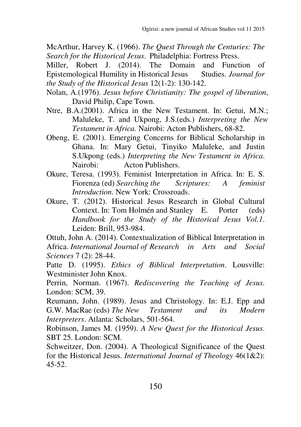McArthur, Harvey K. (1966). *The Quest Through the Centuries: The Search for the Historical Jesus*. Philadelphia: Fortress Press.

Miller, Robert J. (2014). The Domain and Function of Epistemological Humility in Historical Jesus Studies. *Journal for the Study of the Historical Jesus* 12(1-2): 130-142.

- Nolan, A.(1976). *Jesus before Christianity: The gospel of liberation*, David Philip, Cape Town.
- Ntre, B.A.(2001). Africa in the New Testament. In: Getui, M.N.; Maluleke, T. and Ukpong, J.S.(eds.) *Interpreting the New Testament in Africa.* Nairobi: Acton Publishers, 68-82.
- Obeng, E. (2001). Emerging Concerns for Biblical Scholarship in Ghana. In: Mary Getui, Tinyiko Maluleke, and Justin S.Ukpong (eds.) *Interpreting the New Testament in Africa*. Nairobi: Acton Publishers.
- Okure, Teresa. (1993). Feminist Interpretation in Africa. In: E. S. Fiorenza (ed) *Searching the Scriptures: A feminist Introduction* New York: Crossroads.
- Okure, T. (2012). Historical Jesus Research in Global Cultural Context. In: Tom Holmén and Stanley E. Porter (eds) *Handbook for the Study of the Historical Jesus Vol.1*. Leiden: Brill, 953-984.

Ottuh, John A. (2014). Contextualization of Biblical Interpretation in Africa. *International Journal of Research in Arts and Social Sciences* 7 (2): 28-44.

Patte D. (1995). *Ethics of Biblical Interpretation*. Lousville: Westminister John Knox.

Perrin, Norman. (1967). *Rediscovering the Teaching of Jesus*. London: SCM, 39.

Reumann, John. (1989). Jesus and Christology. In: E.J. Epp and G.W. MacRae (eds) *The New Testament and its Modern Interpreters*. Atlanta: Scholars, 501-564.

Robinson, James M. (1959). *A New Quest for the Historical Jesus*. SBT 25. London: SCM.

Schweitzer, Don. (2004). A Theological Significance of the Quest for the Historical Jesus. *International Journal of Theology* 46(1&2): 45-52.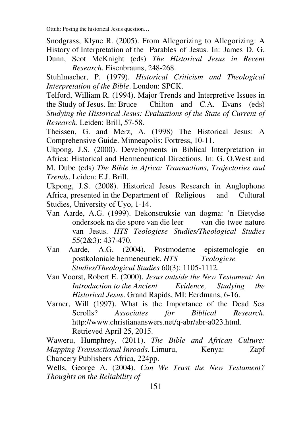Snodgrass, Klyne R. (2005). From Allegorizing to Allegorizing: A History of Interpretation of the Parables of Jesus. In: James D. G. Dunn, Scot McKnight (eds) *The Historical Jesus in Recent Research*. Eisenbrauns, 248-268.

Stuhlmacher, P. (1979). *Historical Criticism and Theological Interpretation of the Bible*. London: SPCK.

Telford, William R. (1994). Major Trends and Interpretive Issues in the Study of Jesus. In: Bruce Chilton and C.A. Evans (eds) *Studying the Historical Jesus: Evaluations of the State of Current of Research*. Leiden: Brill, 57-58.

Theissen, G. and Merz, A. (1998) The Historical Jesus: A Comprehensive Guide. Minneapolis: Fortress, 10-11.

Ukpong, J.S. (2000). Developments in Biblical Interpretation in Africa: Historical and Hermeneutical Directions. In: G. O.West and M. Dube (eds) *The Bible in Africa: Transactions, Trajectories and Trends*, Leiden: E.J. Brill.

Ukpong, J.S. (2008). Historical Jesus Research in Anglophone Africa, presented in the Department of Religious and Cultural Studies, University of Uyo, 1-14.

- Van Aarde, A.G. (1999). Dekonstruksie van dogma: 'n Eietydse ondersoek na die spore van die leer van die twee nature van Jesus. *HTS Teologiese Studies/Theological Studies* 55(2&3): 437-470.
- Van Aarde, A.G. (2004). Postmoderne epistemologie en postkoloniale hermeneutiek. *HTS Teologiese Studies/Theological Studies* 60(3): 1105-1112.
- Van Voorst, Robert E. (2000). *Jesus outside the New Testament: An Introduction to the Ancient Evidence, Studying the Historical Jesus*. Grand Rapids, MI: Eerdmans, 6-16.
- Varner, Will (1997). What is the Importance of the Dead Sea Scrolls? *Associates for Biblical Research*. http://www.christiananswers.net/q-abr/abr-a023.html. Retrieved April 25, 2015.

Waweru, Humphrey. (2011). *The Bible and African Culture: Mapping Transactional Inroads*. Limuru, Kenya: Zapf Chancery Publishers Africa, 224pp.

Wells, George A. (2004). *Can We Trust the New Testament? Thoughts on the Reliability of*